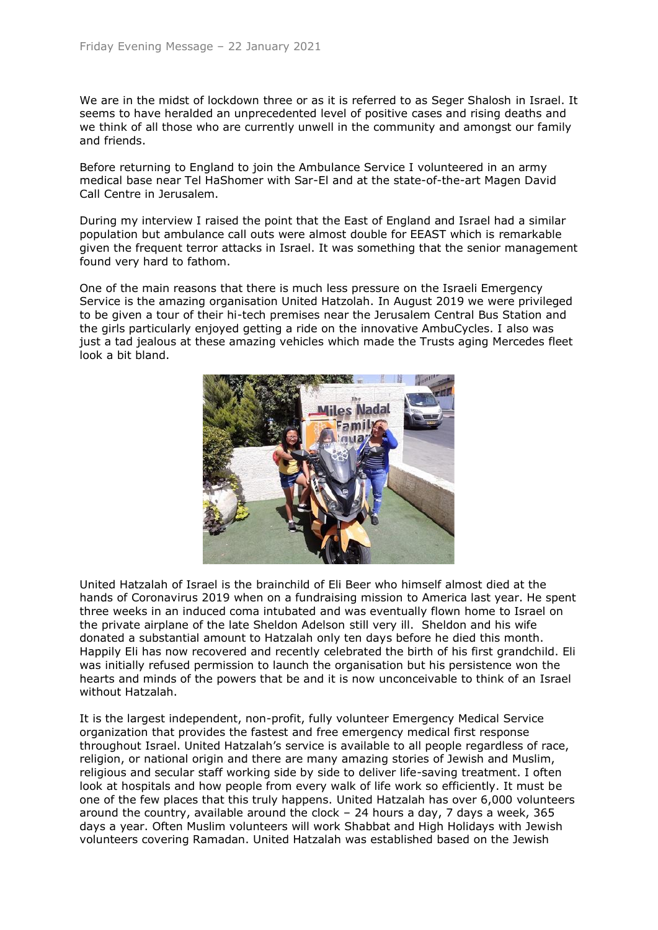We are in the midst of lockdown three or as it is referred to as Seger Shalosh in Israel. It seems to have heralded an unprecedented level of positive cases and rising deaths and we think of all those who are currently unwell in the community and amongst our family and friends.

Before returning to England to join the Ambulance Service I volunteered in an army medical base near Tel HaShomer with Sar-El and at the state-of-the-art Magen David Call Centre in Jerusalem.

During my interview I raised the point that the East of England and Israel had a similar population but ambulance call outs were almost double for EEAST which is remarkable given the frequent terror attacks in Israel. It was something that the senior management found very hard to fathom.

One of the main reasons that there is much less pressure on the Israeli Emergency Service is the amazing organisation United Hatzolah. In August 2019 we were privileged to be given a tour of their hi-tech premises near the Jerusalem Central Bus Station and the girls particularly enjoyed getting a ride on the innovative AmbuCycles. I also was just a tad jealous at these amazing vehicles which made the Trusts aging Mercedes fleet look a bit bland.



United Hatzalah of Israel is the brainchild of Eli Beer who himself almost died at the hands of Coronavirus 2019 when on a fundraising mission to America last year. He spent three weeks in an induced coma intubated and was eventually flown home to Israel on the private airplane of the late Sheldon Adelson still very ill. Sheldon and his wife donated a substantial amount to Hatzalah only ten days before he died this month. Happily Eli has now recovered and recently celebrated the birth of his first grandchild. Eli was initially refused permission to launch the organisation but his persistence won the hearts and minds of the powers that be and it is now unconceivable to think of an Israel without Hatzalah.

It is the largest independent, non-profit, fully volunteer Emergency Medical Service organization that provides the fastest and free emergency medical first response throughout Israel. United Hatzalah's service is available to all people regardless of race, religion, or national origin and there are many amazing stories of Jewish and Muslim, religious and secular staff working side by side to deliver life-saving treatment. I often look at hospitals and how people from every walk of life work so efficiently. It must be one of the few places that this truly happens. United Hatzalah has over 6,000 volunteers around the country, available around the clock – 24 hours a day, 7 days a week, 365 days a year. Often Muslim volunteers will work Shabbat and High Holidays with Jewish volunteers covering Ramadan. United Hatzalah was established based on the Jewish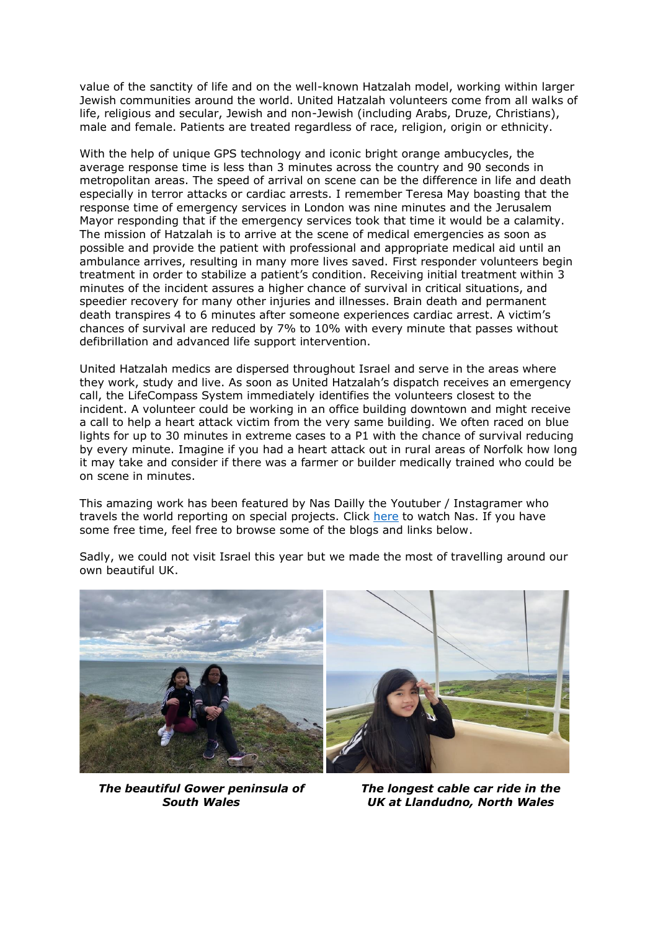value of the sanctity of life and on the well-known Hatzalah model, working within larger Jewish communities around the world. United Hatzalah volunteers come from all walks of life, religious and secular, Jewish and non-Jewish (including Arabs, Druze, Christians), male and female. Patients are treated regardless of race, religion, origin or ethnicity.

With the help of unique GPS technology and iconic bright orange ambucycles, the average response time is less than 3 minutes across the country and 90 seconds in metropolitan areas. The speed of arrival on scene can be the difference in life and death especially in terror attacks or cardiac arrests. I remember Teresa May boasting that the response time of emergency services in London was nine minutes and the Jerusalem Mayor responding that if the emergency services took that time it would be a calamity. The mission of Hatzalah is to arrive at the scene of medical emergencies as soon as possible and provide the patient with professional and appropriate medical aid until an ambulance arrives, resulting in many more lives saved. First responder volunteers begin treatment in order to stabilize a patient's condition. Receiving initial treatment within 3 minutes of the incident assures a higher chance of survival in critical situations, and speedier recovery for many other injuries and illnesses. Brain death and permanent death transpires 4 to 6 minutes after someone experiences cardiac arrest. A victim's chances of survival are reduced by 7% to 10% with every minute that passes without defibrillation and advanced life support intervention.

United Hatzalah medics are dispersed throughout Israel and serve in the areas where they work, study and live. As soon as United Hatzalah's dispatch receives an emergency call, the LifeCompass System immediately identifies the volunteers closest to the incident. A volunteer could be working in an office building downtown and might receive a call to help a heart attack victim from the very same building. We often raced on blue lights for up to 30 minutes in extreme cases to a P1 with the chance of survival reducing by every minute. Imagine if you had a heart attack out in rural areas of Norfolk how long it may take and consider if there was a farmer or builder medically trained who could be on scene in minutes.

This amazing work has been featured by Nas Dailly the Youtuber / Instagramer who travels the world reporting on special projects. Click [here](https://youtu.be/bFwwaB9n_x0) to watch Nas. If you have some free time, feel free to browse some of the blogs and links below.

Sadly, we could not visit Israel this year but we made the most of travelling around our own beautiful UK.



*The beautiful Gower peninsula of South Wales*

*The longest cable car ride in the UK at Llandudno, North Wales*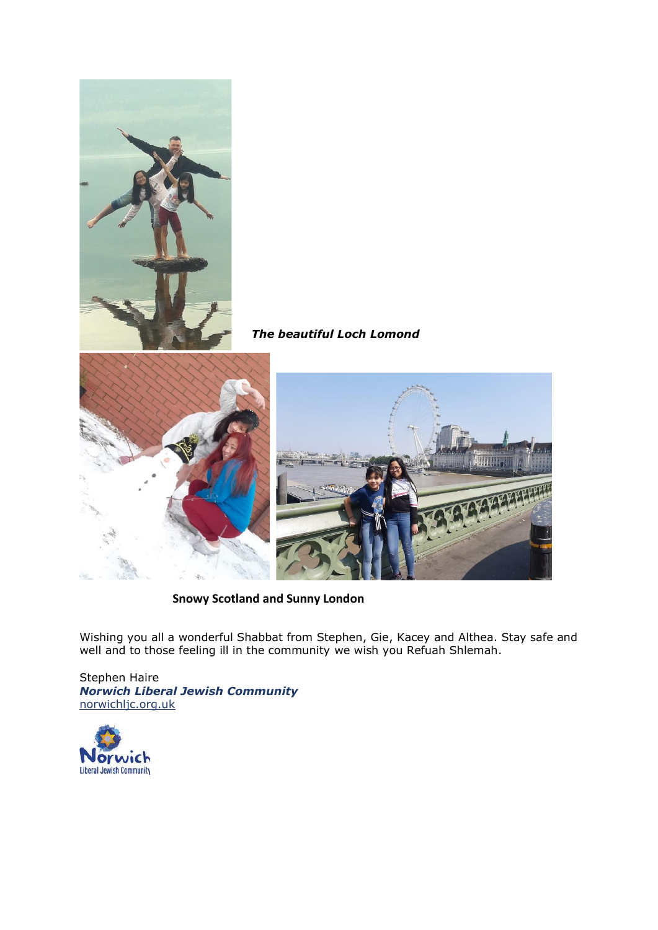

*The beautiful Loch Lomond*





 **Snowy Scotland and Sunny London**

Wishing you all a wonderful Shabbat from Stephen, Gie, Kacey and Althea. Stay safe and well and to those feeling ill in the community we wish you Refuah Shlemah.

Stephen Haire *Norwich Liberal Jewish Community* [norwichljc.org.uk](http://www.norwichljc.org.uk/)